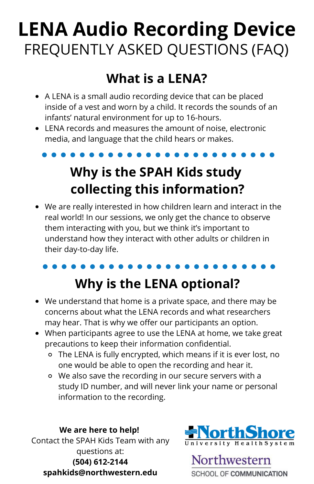# **LENA Audio Recording Device** FREQUENTLY ASKED QUESTIONS (FAQ)

#### **What is a LENA?**

- A LENA is a small audio recording device that can be placed inside of a vest and worn by a child. It records the sounds of an infants' natural environment for up to 16-hours.
- $\bullet$  LENA records and measures the amount of noise, electronic media, and language that the child hears or makes.
	-

### **Why is the SPAH Kids study collecting this information?**

We are really interested in how children learn and interact in the real world! In our sessions, we only get the chance to observe them interacting with you, but we think it's important to understand how they interact with other adults or children in their day-to-day life.

#### **Why is the LENA optional?**

- We understand that home is a private space, and there may be concerns about what the LENA records and what researchers may hear. That is why we offer our participants an option.
- When participants agree to use the LENA at home, we take great precautions to keep their information confidential.
	- The LENA is fully encrypted, which means if it is ever lost, no one would be able to open the recording and hear it.
	- We also save the recording in our secure servers with a study ID number, and will never link your name or personal information to the recording.

#### **We are here to help!**

Contact the SPAH Kids Team with any questions at: **(504) 612-2144 spahkids@northwestern.edu**



Northwestern **SCHOOL OF COMMUNICATION**